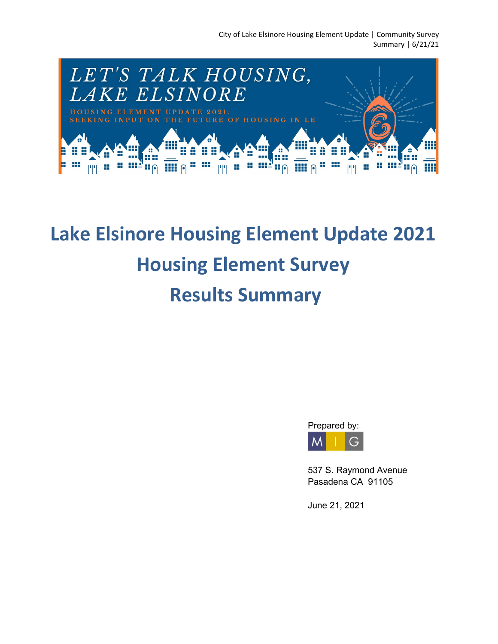

# **Lake Elsinore Housing Element Update 2021 Housing Element Survey Results Summary**



537 S. Raymond Avenue Pasadena CA 91105

June 21, 2021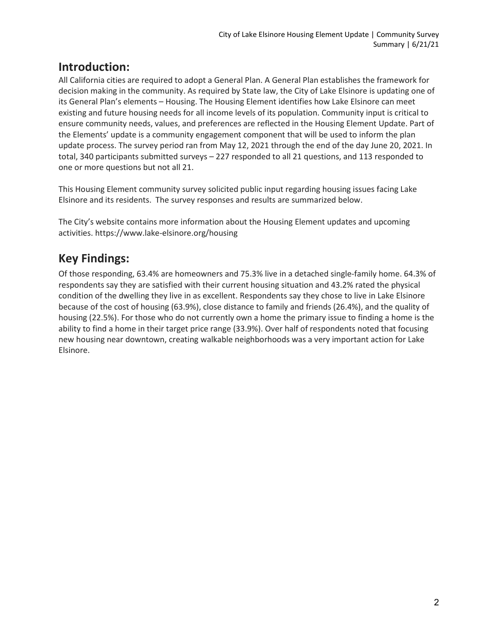# **Introduction:**

All California cities are required to adopt a General Plan. A General Plan establishes the framework for decision making in the community. As required by State law, the City of Lake Elsinore is updating one of its General Plan's elements – Housing. The Housing Element identifies how Lake Elsinore can meet existing and future housing needs for all income levels of its population. Community input is critical to ensure community needs, values, and preferences are reflected in the Housing Element Update. Part of the Elements' update is a community engagement component that will be used to inform the plan update process. The survey period ran from May 12, 2021 through the end of the day June 20, 2021. In total, 340 participants submitted surveys – 227 responded to all 21 questions, and 113 responded to one or more questions but not all 21.

This Housing Element community survey solicited public input regarding housing issues facing Lake Elsinore and its residents. The survey responses and results are summarized below.

The City's website contains more information about the Housing Element updates and upcoming activities. https://www.lake-elsinore.org/housing

# **Key Findings:**

Of those responding, 63.4% are homeowners and 75.3% live in a detached single-family home. 64.3% of respondents say they are satisfied with their current housing situation and 43.2% rated the physical condition of the dwelling they live in as excellent. Respondents say they chose to live in Lake Elsinore because of the cost of housing (63.9%), close distance to family and friends (26.4%), and the quality of housing (22.5%). For those who do not currently own a home the primary issue to finding a home is the ability to find a home in their target price range (33.9%). Over half of respondents noted that focusing new housing near downtown, creating walkable neighborhoods was a very important action for Lake Elsinore.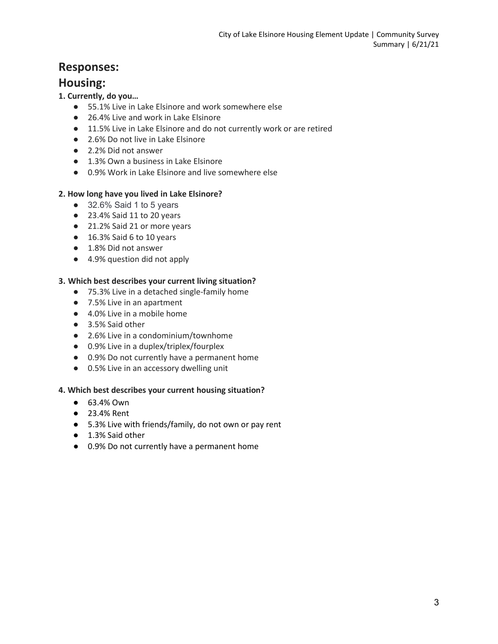## **Responses:**

### **Housing:**

#### **1. Currently, do you…**

- 55.1% Live in Lake Elsinore and work somewhere else
- 26.4% Live and work in Lake Elsinore
- 11.5% Live in Lake Elsinore and do not currently work or are retired
- 2.6% Do not live in Lake Elsinore
- 2.2% Did not answer
- 1.3% Own a business in Lake Elsinore
- 0.9% Work in Lake Elsinore and live somewhere else

#### **2. How long have you lived in Lake Elsinore?**

- 32.6% Said 1 to 5 years
- 23.4% Said 11 to 20 years
- 21.2% Said 21 or more years
- 16.3% Said 6 to 10 years
- 1.8% Did not answer
- 4.9% question did not apply

#### **3. Which best describes your current living situation?**

- 75.3% Live in a detached single-family home
- 7.5% Live in an apartment
- 4.0% Live in a mobile home
- 3.5% Said other
- 2.6% Live in a condominium/townhome
- 0.9% Live in a duplex/triplex/fourplex
- 0.9% Do not currently have a permanent home
- 0.5% Live in an accessory dwelling unit

#### **4. Which best describes your current housing situation?**

- 63.4% Own
- 23.4% Rent
- 5.3% Live with friends/family, do not own or pay rent
- 1.3% Said other
- 0.9% Do not currently have a permanent home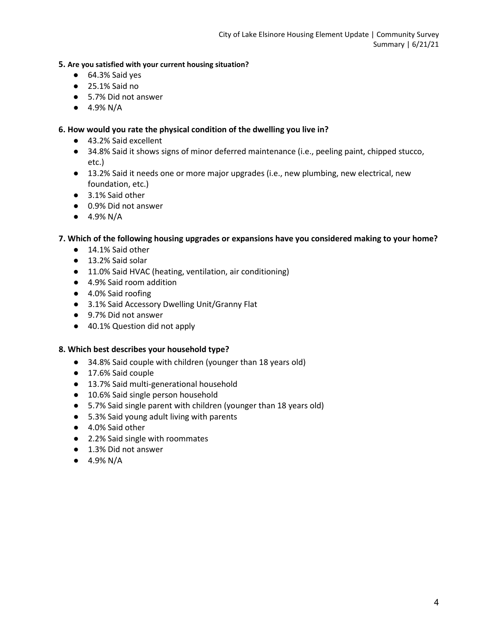#### **5. Are you satisfied with your current housing situation?**

- 64.3% Said yes
- 25.1% Said no
- 5.7% Did not answer
- $\bullet$  4.9% N/A

#### **6. How would you rate the physical condition of the dwelling you live in?**

- 43.2% Said excellent
- 34.8% Said it shows signs of minor deferred maintenance (i.e., peeling paint, chipped stucco, etc.)
- 13.2% Said it needs one or more major upgrades (i.e., new plumbing, new electrical, new foundation, etc.)
- 3.1% Said other
- 0.9% Did not answer
- $\bullet$  4.9% N/A

#### **7. Which of the following housing upgrades or expansions have you considered making to your home?**

- 14.1% Said other
- 13.2% Said solar
- 11.0% Said HVAC (heating, ventilation, air conditioning)
- 4.9% Said room addition
- 4.0% Said roofing
- 3.1% Said Accessory Dwelling Unit/Granny Flat
- 9.7% Did not answer
- 40.1% Question did not apply

#### **8. Which best describes your household type?**

- 34.8% Said couple with children (younger than 18 years old)
- 17.6% Said couple
- 13.7% Said multi-generational household
- 10.6% Said single person household
- 5.7% Said single parent with children (younger than 18 years old)
- 5.3% Said young adult living with parents
- 4.0% Said other
- 2.2% Said single with roommates
- 1.3% Did not answer
- $\bullet$  4.9% N/A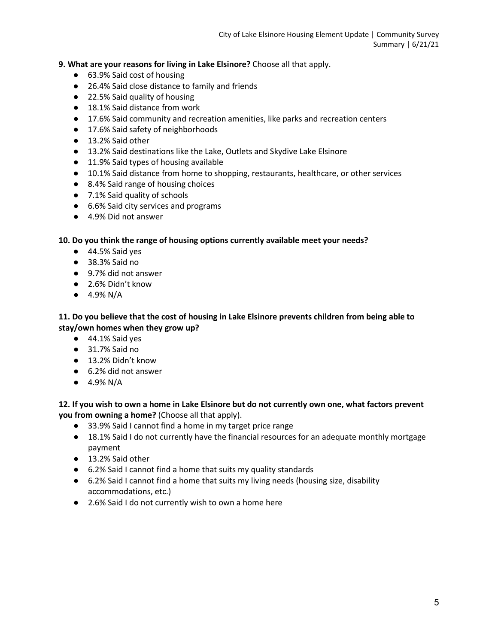**9. What are your reasons for living in Lake Elsinore?** Choose all that apply.

- 63.9% Said cost of housing
- 26.4% Said close distance to family and friends
- 22.5% Said quality of housing
- 18.1% Said distance from work
- 17.6% Said community and recreation amenities, like parks and recreation centers
- 17.6% Said safety of neighborhoods
- 13.2% Said other
- 13.2% Said destinations like the Lake, Outlets and Skydive Lake Elsinore
- 11.9% Said types of housing available
- 10.1% Said distance from home to shopping, restaurants, healthcare, or other services
- 8.4% Said range of housing choices
- 7.1% Said quality of schools
- 6.6% Said city services and programs
- 4.9% Did not answer

**10. Do you think the range of housing options currently available meet your needs?**

- 44.5% Said yes
- 38.3% Said no
- 9.7% did not answer
- 2.6% Didn't know
- $\bullet$  4.9% N/A

**11. Do you believe that the cost of housing in Lake Elsinore prevents children from being able to stay/own homes when they grow up?**

- 44.1% Said yes
- 31.7% Said no
- 13.2% Didn't know
- 6.2% did not answer
- $\bullet$  4.9% N/A

**12. If you wish to own a home in Lake Elsinore but do not currently own one, what factors prevent you from owning a home?** (Choose all that apply).

- 33.9% Said I cannot find a home in my target price range
- 18.1% Said I do not currently have the financial resources for an adequate monthly mortgage payment
- 13.2% Said other
- 6.2% Said I cannot find a home that suits my quality standards
- 6.2% Said I cannot find a home that suits my living needs (housing size, disability accommodations, etc.)
- 2.6% Said I do not currently wish to own a home here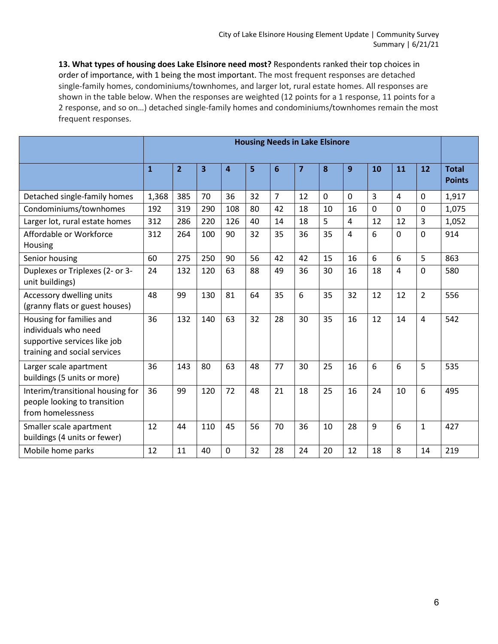**13. What types of housing does Lake Elsinore need most?** Respondents ranked their top choices in order of importance, with 1 being the most important. The most frequent responses are detached single-family homes, condominiums/townhomes, and larger lot, rural estate homes. All responses are shown in the table below. When the responses are weighted (12 points for a 1 response, 11 points for a 2 response, and so on…) detached single-family homes and condominiums/townhomes remain the most frequent responses.

|                                                                                                                  | <b>Housing Needs in Lake Elsinore</b> |                |     |             |    |                 |                         |             |             |             |                |                |                               |
|------------------------------------------------------------------------------------------------------------------|---------------------------------------|----------------|-----|-------------|----|-----------------|-------------------------|-------------|-------------|-------------|----------------|----------------|-------------------------------|
|                                                                                                                  | $\mathbf{1}$                          | $\overline{2}$ | 3   | 4           | 5  | $6\phantom{1}6$ | $\overline{\mathbf{z}}$ | 8           | 9           | 10          | 11             | 12             | <b>Total</b><br><b>Points</b> |
| Detached single-family homes                                                                                     | 1,368                                 | 385            | 70  | 36          | 32 | $\overline{7}$  | 12                      | $\mathbf 0$ | $\mathbf 0$ | 3           | 4              | $\mathbf 0$    | 1,917                         |
| Condominiums/townhomes                                                                                           | 192                                   | 319            | 290 | 108         | 80 | 42              | 18                      | 10          | 16          | $\mathbf 0$ | $\mathbf{0}$   | $\mathbf 0$    | 1,075                         |
| Larger lot, rural estate homes                                                                                   | 312                                   | 286            | 220 | 126         | 40 | 14              | 18                      | 5           | 4           | 12          | 12             | 3              | 1,052                         |
| Affordable or Workforce<br>Housing                                                                               | 312                                   | 264            | 100 | 90          | 32 | 35              | 36                      | 35          | 4           | 6           | $\Omega$       | $\mathbf 0$    | 914                           |
| Senior housing                                                                                                   | 60                                    | 275            | 250 | 90          | 56 | 42              | 42                      | 15          | 16          | 6           | 6              | 5              | 863                           |
| Duplexes or Triplexes (2- or 3-<br>unit buildings)                                                               | 24                                    | 132            | 120 | 63          | 88 | 49              | 36                      | 30          | 16          | 18          | $\overline{4}$ | $\mathbf 0$    | 580                           |
| Accessory dwelling units<br>(granny flats or guest houses)                                                       | 48                                    | 99             | 130 | 81          | 64 | 35              | 6                       | 35          | 32          | 12          | 12             | $\overline{2}$ | 556                           |
| Housing for families and<br>individuals who need<br>supportive services like job<br>training and social services | 36                                    | 132            | 140 | 63          | 32 | 28              | 30                      | 35          | 16          | 12          | 14             | $\overline{4}$ | 542                           |
| Larger scale apartment<br>buildings (5 units or more)                                                            | 36                                    | 143            | 80  | 63          | 48 | 77              | 30                      | 25          | 16          | 6           | 6              | 5              | 535                           |
| Interim/transitional housing for<br>people looking to transition<br>from homelessness                            | 36                                    | 99             | 120 | 72          | 48 | 21              | 18                      | 25          | 16          | 24          | 10             | 6              | 495                           |
| Smaller scale apartment<br>buildings (4 units or fewer)                                                          | 12                                    | 44             | 110 | 45          | 56 | 70              | 36                      | 10          | 28          | 9           | 6              | $\mathbf{1}$   | 427                           |
| Mobile home parks                                                                                                | 12                                    | 11             | 40  | $\mathbf 0$ | 32 | 28              | 24                      | 20          | 12          | 18          | 8              | 14             | 219                           |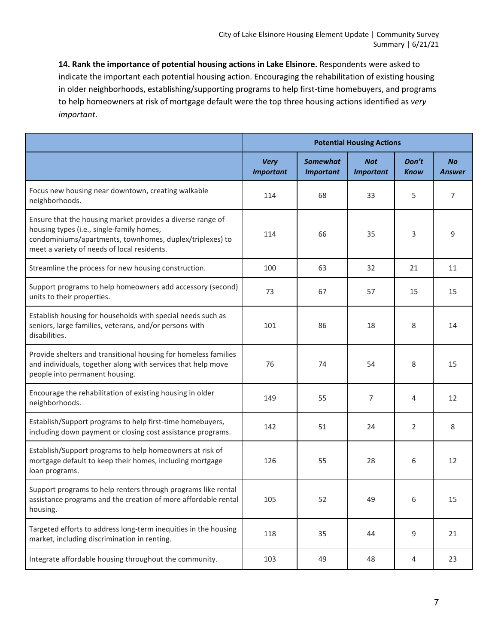**14. Rank the importance of potential housing actions in Lake Elsinore.** Respondents were asked to indicate the important each potential housing action. Encouraging the rehabilitation of existing housing in older neighborhoods, establishing/supporting programs to help first-time homebuyers, and programs to help homeowners at risk of mortgage default were the top three housing actions identified as *very important*.

|                                                                                                                                                                                                                    | <b>Potential Housing Actions</b> |                                     |                                |                      |                            |  |
|--------------------------------------------------------------------------------------------------------------------------------------------------------------------------------------------------------------------|----------------------------------|-------------------------------------|--------------------------------|----------------------|----------------------------|--|
|                                                                                                                                                                                                                    | <b>Very</b><br><b>Important</b>  | <b>Somewhat</b><br><b>Important</b> | <b>Not</b><br><b>Important</b> | Don't<br><b>Know</b> | <b>No</b><br><b>Answer</b> |  |
| Focus new housing near downtown, creating walkable<br>neighborhoods.                                                                                                                                               | 114                              | 68                                  | 33                             | 5                    | 7                          |  |
| Ensure that the housing market provides a diverse range of<br>housing types (i.e., single-family homes,<br>condominiums/apartments, townhomes, duplex/triplexes) to<br>meet a variety of needs of local residents. | 114                              | 66                                  | 35                             | 3                    | 9                          |  |
| Streamline the process for new housing construction.                                                                                                                                                               | 100                              | 63                                  | 32                             | 21                   | 11                         |  |
| Support programs to help homeowners add accessory (second)<br>units to their properties.                                                                                                                           | 73                               | 67                                  | 57                             | 15                   | 15                         |  |
| Establish housing for households with special needs such as<br>seniors, large families, veterans, and/or persons with<br>disabilities.                                                                             | 101                              | 86                                  | 18                             | 8                    | 14                         |  |
| Provide shelters and transitional housing for homeless families<br>and individuals, together along with services that help move<br>people into permanent housing.                                                  | 76                               | 74                                  | 54                             | 8                    | 15                         |  |
| Encourage the rehabilitation of existing housing in older<br>neighborhoods.                                                                                                                                        | 149                              | 55                                  | 7                              | 4                    | 12                         |  |
| Establish/Support programs to help first-time homebuyers,<br>including down payment or closing cost assistance programs.                                                                                           | 142                              | 51                                  | 24                             | 2                    | 8                          |  |
| Establish/Support programs to help homeowners at risk of<br>mortgage default to keep their homes, including mortgage<br>loan programs.                                                                             | 126                              | 55                                  | 28                             | 6                    | 12                         |  |
| Support programs to help renters through programs like rental<br>assistance programs and the creation of more affordable rental<br>housing.                                                                        | 105                              | 52                                  | 49                             | 6                    | 15                         |  |
| Targeted efforts to address long-term inequities in the housing<br>market, including discrimination in renting.                                                                                                    | 118                              | 35                                  | 44                             | 9                    | 21                         |  |
| Integrate affordable housing throughout the community.                                                                                                                                                             | 103                              | 49                                  | 48                             | 4                    | 23                         |  |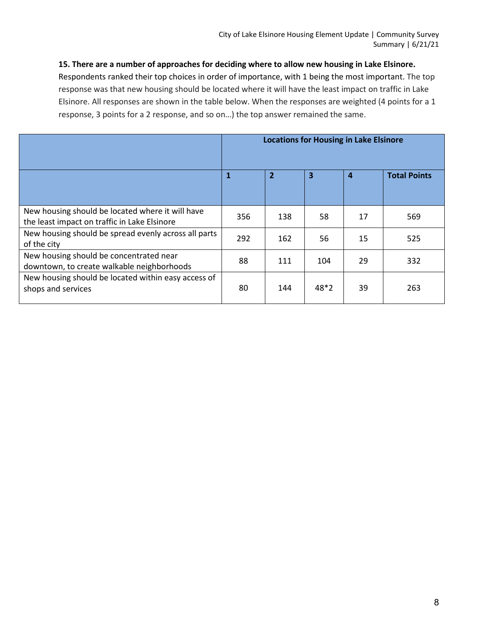**15. There are a number of approaches for deciding where to allow new housing in Lake Elsinore.**

Respondents ranked their top choices in order of importance, with 1 being the most important. The top response was that new housing should be located where it will have the least impact on traffic in Lake Elsinore. All responses are shown in the table below. When the responses are weighted (4 points for a 1 response, 3 points for a 2 response, and so on…) the top answer remained the same.

|                                                                                                  | <b>Locations for Housing in Lake Elsinore</b> |                |      |    |                     |  |  |
|--------------------------------------------------------------------------------------------------|-----------------------------------------------|----------------|------|----|---------------------|--|--|
|                                                                                                  | $\mathbf{1}$                                  | $\overline{2}$ | 3    | 4  | <b>Total Points</b> |  |  |
| New housing should be located where it will have<br>the least impact on traffic in Lake Elsinore | 356                                           | 138            | 58   | 17 | 569                 |  |  |
| New housing should be spread evenly across all parts<br>of the city                              | 292                                           | 162            | 56   | 15 | 525                 |  |  |
| New housing should be concentrated near<br>downtown, to create walkable neighborhoods            | 88                                            | 111            | 104  | 29 | 332                 |  |  |
| New housing should be located within easy access of<br>shops and services                        | 80                                            | 144            | 48*2 | 39 | 263                 |  |  |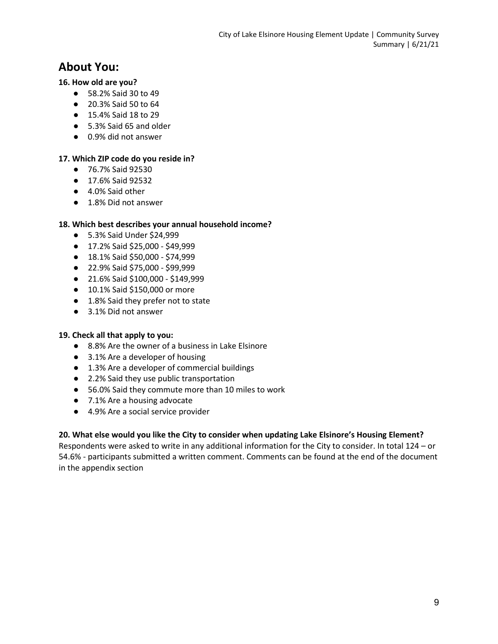# **About You:**

#### **16. How old are you?**

- 58.2% Said 30 to 49
- 20.3% Said 50 to 64
- 15.4% Said 18 to 29
- 5.3% Said 65 and older
- 0.9% did not answer

#### **17. Which ZIP code do you reside in?**

- 76.7% Said 92530
- 17.6% Said 92532
- 4.0% Said other
- 1.8% Did not answer

#### **18. Which best describes your annual household income?**

- 5.3% Said Under \$24,999
- 17.2% Said \$25,000 \$49,999
- 18.1% Said \$50,000 \$74,999
- 22.9% Said \$75,000 \$99,999
- 21.6% Said \$100,000 \$149,999
- 10.1% Said \$150,000 or more
- 1.8% Said they prefer not to state
- 3.1% Did not answer

#### **19. Check all that apply to you:**

- 8.8% Are the owner of a business in Lake Elsinore
- 3.1% Are a developer of housing
- 1.3% Are a developer of commercial buildings
- 2.2% Said they use public transportation
- 56.0% Said they commute more than 10 miles to work
- 7.1% Are a housing advocate
- 4.9% Are a social service provider

#### **20. What else would you like the City to consider when updating Lake Elsinore's Housing Element?**

Respondents were asked to write in any additional information for the City to consider. In total 124 – or 54.6% - participants submitted a written comment. Comments can be found at the end of the document in the appendix section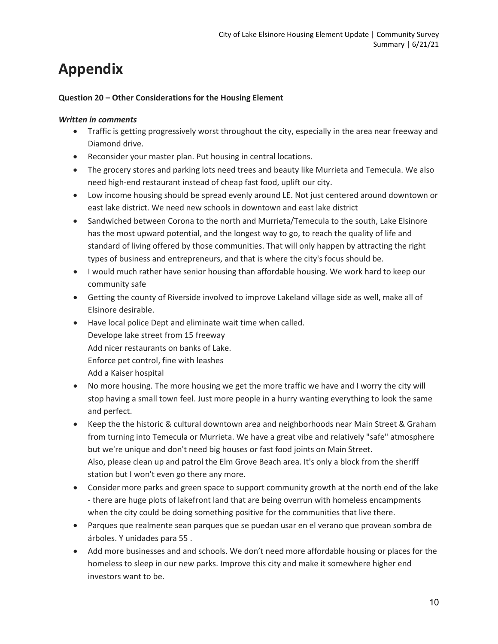# **Appendix**

#### **Question 20 – Other Considerations for the Housing Element**

#### *Written in comments*

- Traffic is getting progressively worst throughout the city, especially in the area near freeway and Diamond drive.
- Reconsider your master plan. Put housing in central locations.
- The grocery stores and parking lots need trees and beauty like Murrieta and Temecula. We also need high-end restaurant instead of cheap fast food, uplift our city.
- Low income housing should be spread evenly around LE. Not just centered around downtown or east lake district. We need new schools in downtown and east lake district
- Sandwiched between Corona to the north and Murrieta/Temecula to the south, Lake Elsinore has the most upward potential, and the longest way to go, to reach the quality of life and standard of living offered by those communities. That will only happen by attracting the right types of business and entrepreneurs, and that is where the city's focus should be.
- I would much rather have senior housing than affordable housing. We work hard to keep our community safe
- Getting the county of Riverside involved to improve Lakeland village side as well, make all of Elsinore desirable.
- Have local police Dept and eliminate wait time when called. Develope lake street from 15 freeway Add nicer restaurants on banks of Lake. Enforce pet control, fine with leashes Add a Kaiser hospital
- No more housing. The more housing we get the more traffic we have and I worry the city will stop having a small town feel. Just more people in a hurry wanting everything to look the same and perfect.
- Keep the the historic & cultural downtown area and neighborhoods near Main Street & Graham from turning into Temecula or Murrieta. We have a great vibe and relatively "safe" atmosphere but we're unique and don't need big houses or fast food joints on Main Street. Also, please clean up and patrol the Elm Grove Beach area. It's only a block from the sheriff station but I won't even go there any more.
- Consider more parks and green space to support community growth at the north end of the lake - there are huge plots of lakefront land that are being overrun with homeless encampments when the city could be doing something positive for the communities that live there.
- Parques que realmente sean parques que se puedan usar en el verano que provean sombra de árboles. Y unidades para 55 .
- Add more businesses and and schools. We don't need more affordable housing or places for the homeless to sleep in our new parks. Improve this city and make it somewhere higher end investors want to be.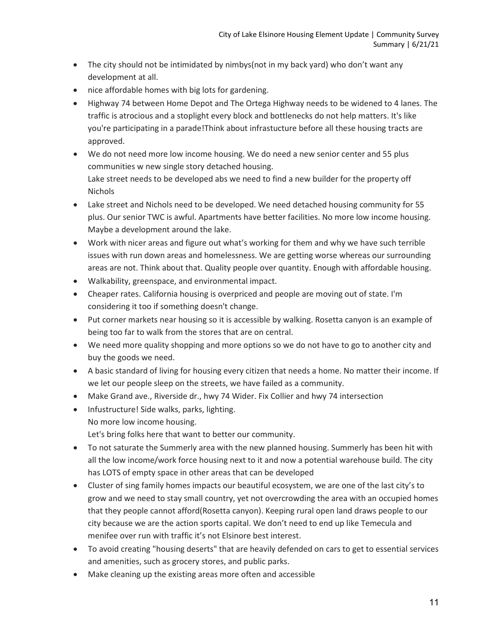- The city should not be intimidated by nimbys(not in my back yard) who don't want any development at all.
- nice affordable homes with big lots for gardening.
- Highway 74 between Home Depot and The Ortega Highway needs to be widened to 4 lanes. The traffic is atrocious and a stoplight every block and bottlenecks do not help matters. It's like you're participating in a parade!Think about infrastucture before all these housing tracts are approved.
- We do not need more low income housing. We do need a new senior center and 55 plus communities w new single story detached housing. Lake street needs to be developed abs we need to find a new builder for the property off Nichols
- Lake street and Nichols need to be developed. We need detached housing community for 55 plus. Our senior TWC is awful. Apartments have better facilities. No more low income housing. Maybe a development around the lake.
- Work with nicer areas and figure out what's working for them and why we have such terrible issues with run down areas and homelessness. We are getting worse whereas our surrounding areas are not. Think about that. Quality people over quantity. Enough with affordable housing.
- Walkability, greenspace, and environmental impact.
- Cheaper rates. California housing is overpriced and people are moving out of state. I'm considering it too if something doesn't change.
- Put corner markets near housing so it is accessible by walking. Rosetta canyon is an example of being too far to walk from the stores that are on central.
- We need more quality shopping and more options so we do not have to go to another city and buy the goods we need.
- A basic standard of living for housing every citizen that needs a home. No matter their income. If we let our people sleep on the streets, we have failed as a community.
- Make Grand ave., Riverside dr., hwy 74 Wider. Fix Collier and hwy 74 intersection
- Infustructure! Side walks, parks, lighting. No more low income housing. Let's bring folks here that want to better our community.
- To not saturate the Summerly area with the new planned housing. Summerly has been hit with all the low income/work force housing next to it and now a potential warehouse build. The city has LOTS of empty space in other areas that can be developed
- Cluster of sing family homes impacts our beautiful ecosystem, we are one of the last city's to grow and we need to stay small country, yet not overcrowding the area with an occupied homes that they people cannot afford(Rosetta canyon). Keeping rural open land draws people to our city because we are the action sports capital. We don't need to end up like Temecula and menifee over run with traffic it's not Elsinore best interest.
- To avoid creating "housing deserts" that are heavily defended on cars to get to essential services and amenities, such as grocery stores, and public parks.
- Make cleaning up the existing areas more often and accessible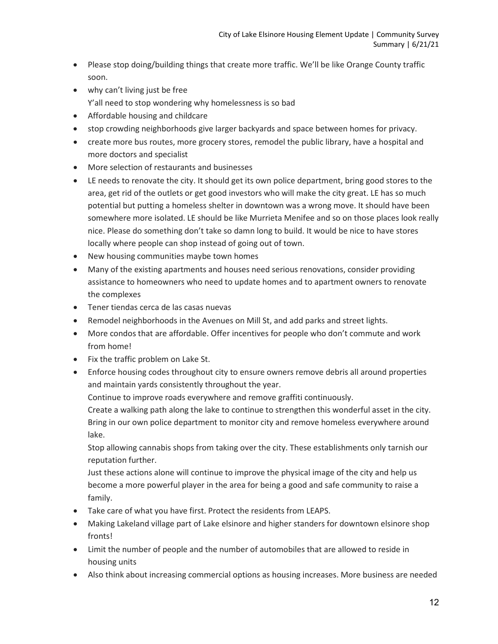- Please stop doing/building things that create more traffic. We'll be like Orange County traffic soon.
- why can't living just be free Y'all need to stop wondering why homelessness is so bad
- Affordable housing and childcare
- stop crowding neighborhoods give larger backyards and space between homes for privacy.
- create more bus routes, more grocery stores, remodel the public library, have a hospital and more doctors and specialist
- More selection of restaurants and businesses
- LE needs to renovate the city. It should get its own police department, bring good stores to the area, get rid of the outlets or get good investors who will make the city great. LE has so much potential but putting a homeless shelter in downtown was a wrong move. It should have been somewhere more isolated. LE should be like Murrieta Menifee and so on those places look really nice. Please do something don't take so damn long to build. It would be nice to have stores locally where people can shop instead of going out of town.
- New housing communities maybe town homes
- Many of the existing apartments and houses need serious renovations, consider providing assistance to homeowners who need to update homes and to apartment owners to renovate the complexes
- Tener tiendas cerca de las casas nuevas
- Remodel neighborhoods in the Avenues on Mill St, and add parks and street lights.
- More condos that are affordable. Offer incentives for people who don't commute and work from home!
- Fix the traffic problem on Lake St.
- Enforce housing codes throughout city to ensure owners remove debris all around properties and maintain yards consistently throughout the year.

Continue to improve roads everywhere and remove graffiti continuously.

Create a walking path along the lake to continue to strengthen this wonderful asset in the city. Bring in our own police department to monitor city and remove homeless everywhere around lake.

Stop allowing cannabis shops from taking over the city. These establishments only tarnish our reputation further.

Just these actions alone will continue to improve the physical image of the city and help us become a more powerful player in the area for being a good and safe community to raise a family.

- Take care of what you have first. Protect the residents from LEAPS.
- Making Lakeland village part of Lake elsinore and higher standers for downtown elsinore shop fronts!
- Limit the number of people and the number of automobiles that are allowed to reside in housing units
- Also think about increasing commercial options as housing increases. More business are needed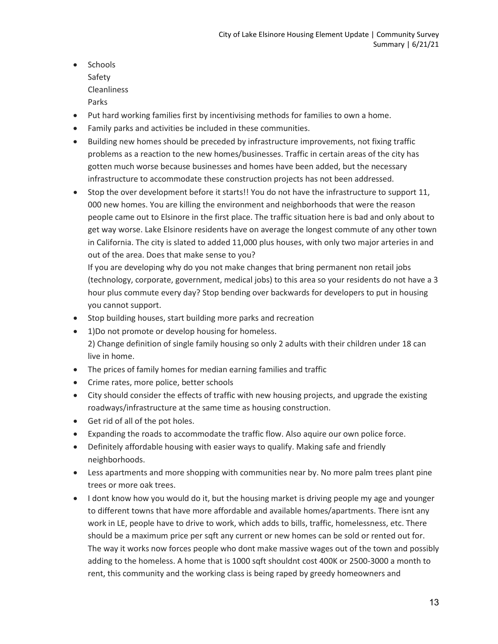- Schools Safety Cleanliness
	- Parks
- Put hard working families first by incentivising methods for families to own a home.
- Family parks and activities be included in these communities.
- Building new homes should be preceded by infrastructure improvements, not fixing traffic problems as a reaction to the new homes/businesses. Traffic in certain areas of the city has gotten much worse because businesses and homes have been added, but the necessary infrastructure to accommodate these construction projects has not been addressed.
- Stop the over development before it starts!! You do not have the infrastructure to support 11, 000 new homes. You are killing the environment and neighborhoods that were the reason people came out to Elsinore in the first place. The traffic situation here is bad and only about to get way worse. Lake Elsinore residents have on average the longest commute of any other town in California. The city is slated to added 11,000 plus houses, with only two major arteries in and out of the area. Does that make sense to you?

If you are developing why do you not make changes that bring permanent non retail jobs (technology, corporate, government, medical jobs) to this area so your residents do not have a 3 hour plus commute every day? Stop bending over backwards for developers to put in housing you cannot support.

- Stop building houses, start building more parks and recreation
- 1)Do not promote or develop housing for homeless. 2) Change definition of single family housing so only 2 adults with their children under 18 can live in home.
- The prices of family homes for median earning families and traffic
- Crime rates, more police, better schools
- City should consider the effects of traffic with new housing projects, and upgrade the existing roadways/infrastructure at the same time as housing construction.
- Get rid of all of the pot holes.
- Expanding the roads to accommodate the traffic flow. Also aquire our own police force.
- Definitely affordable housing with easier ways to qualify. Making safe and friendly neighborhoods.
- Less apartments and more shopping with communities near by. No more palm trees plant pine trees or more oak trees.
- I dont know how you would do it, but the housing market is driving people my age and younger to different towns that have more affordable and available homes/apartments. There isnt any work in LE, people have to drive to work, which adds to bills, traffic, homelessness, etc. There should be a maximum price per sqft any current or new homes can be sold or rented out for. The way it works now forces people who dont make massive wages out of the town and possibly adding to the homeless. A home that is 1000 sqft shouldnt cost 400K or 2500-3000 a month to rent, this community and the working class is being raped by greedy homeowners and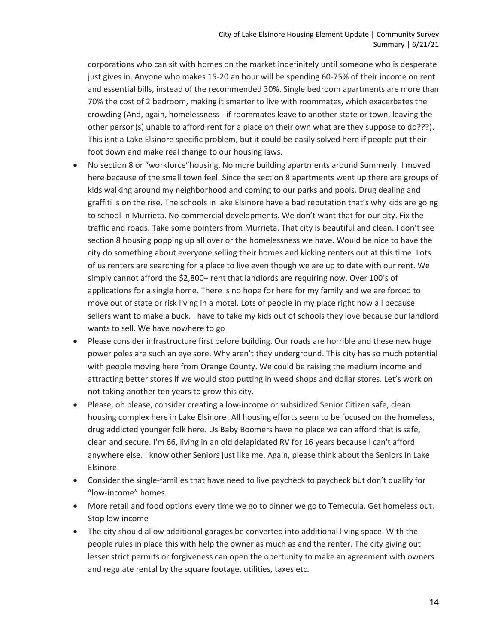corporations who can sit with homes on the market indefinitely until someone who is desperate just gives in. Anyone who makes 15-20 an hour will be spending 60-75% of their income on rent and essential bills, instead of the recommended 30%. Single bedroom apartments are more than 70% the cost of 2 bedroom, making it smarter to live with roommates, which exacerbates the crowding (And, again, homelessness - if roommates leave to another state or town, leaving the other person(s) unable to afford rent for a place on their own what are they suppose to do???). This isnt a Lake Elsinore specific problem, but it could be easily solved here if people put their foot down and make real change to our housing laws.

- No section 8 or "workforce"housing. No more building apartments around Summerly. I moved here because of the small town feel. Since the section 8 apartments went up there are groups of kids walking around my neighborhood and coming to our parks and pools. Drug dealing and graffiti is on the rise. The schools in lake Elsinore have a bad reputation that's why kids are going to school in Murrieta. No commercial developments. We don't want that for our city. Fix the traffic and roads. Take some pointers from Murrieta. That city is beautiful and clean. I don't see section 8 housing popping up all over or the homelessness we have. Would be nice to have the city do something about everyone selling their homes and kicking renters out at this time. Lots of us renters are searching for a place to live even though we are up to date with our rent. We simply cannot afford the \$2,800+ rent that landlords are requiring now. Over 100's of applications for a single home. There is no hope for here for my family and we are forced to move out of state or risk living in a motel. Lots of people in my place right now all because sellers want to make a buck. I have to take my kids out of schools they love because our landlord wants to sell. We have nowhere to go
- Please consider infrastructure first before building. Our roads are horrible and these new huge power poles are such an eye sore. Why aren't they underground. This city has so much potential with people moving here from Orange County. We could be raising the medium income and attracting better stores if we would stop putting in weed shops and dollar stores. Let's work on not taking another ten years to grow this city.
- Please, oh please, consider creating a low-income or subsidized Senior Citizen safe, clean housing complex here in Lake Elsinore! All housing efforts seem to be focused on the homeless, drug addicted younger folk here. Us Baby Boomers have no place we can afford that is safe, clean and secure. I'm 66, living in an old delapidated RV for 16 years because I can't afford anywhere else. I know other Seniors just like me. Again, please think about the Seniors in Lake Elsinore.
- Consider the single-families that have need to live paycheck to paycheck but don't qualify for "low-income" homes.
- More retail and food options every time we go to dinner we go to Temecula. Get homeless out. Stop low income
- The city should allow additional garages be converted into additional living space. With the people rules in place this with help the owner as much as and the renter. The city giving out lesser strict permits or forgiveness can open the opertunity to make an agreement with owners and regulate rental by the square footage, utilities, taxes etc.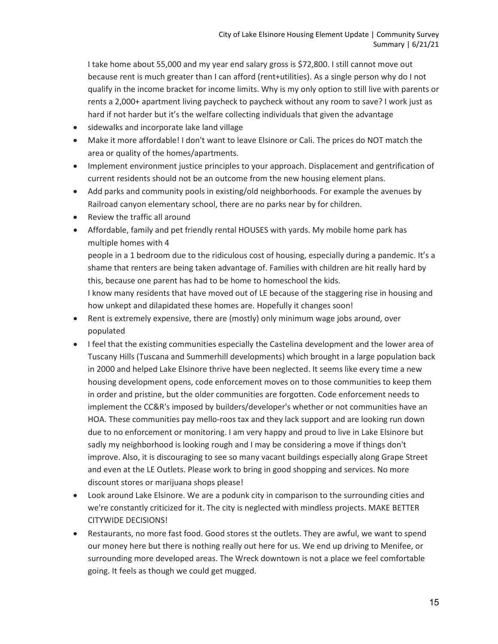I take home about 55,000 and my year end salary gross is \$72,800. I still cannot move out because rent is much greater than I can afford (rent+utilities). As a single person why do I not qualify in the income bracket for income limits. Why is my only option to still live with parents or rents a 2,000+ apartment living paycheck to paycheck without any room to save? I work just as hard if not harder but it's the welfare collecting individuals that given the advantage

- sidewalks and incorporate lake land village
- Make it more affordable! I don't want to leave Elsinore or Cali. The prices do NOT match the area or quality of the homes/apartments.
- Implement environment justice principles to your approach. Displacement and gentrification of current residents should not be an outcome from the new housing element plans.
- Add parks and community pools in existing/old neighborhoods. For example the avenues by Railroad canyon elementary school, there are no parks near by for children.
- Review the traffic all around
- Affordable, family and pet friendly rental HOUSES with yards. My mobile home park has multiple homes with 4

people in a 1 bedroom due to the ridiculous cost of housing, especially during a pandemic. It's a shame that renters are being taken advantage of. Families with children are hit really hard by this, because one parent has had to be home to homeschool the kids. I know many residents that have moved out of LE because of the staggering rise in housing and

how unkept and dilapidated these homes are. Hopefully it changes soon!

- Rent is extremely expensive, there are (mostly) only minimum wage jobs around, over populated
- I feel that the existing communities especially the Castelina development and the lower area of Tuscany Hills (Tuscana and Summerhill developments) which brought in a large population back in 2000 and helped Lake Elsinore thrive have been neglected. It seems like every time a new housing development opens, code enforcement moves on to those communities to keep them in order and pristine, but the older communities are forgotten. Code enforcement needs to implement the CC&R's imposed by builders/developer's whether or not communities have an HOA. These communities pay mello-roos tax and they lack support and are looking run down due to no enforcement or monitoring. I am very happy and proud to live in Lake Elsinore but sadly my neighborhood is looking rough and I may be considering a move if things don't improve. Also, it is discouraging to see so many vacant buildings especially along Grape Street and even at the LE Outlets. Please work to bring in good shopping and services. No more discount stores or marijuana shops please!
- Look around Lake Elsinore. We are a podunk city in comparison to the surrounding cities and we're constantly criticized for it. The city is neglected with mindless projects. MAKE BETTER CITYWIDE DECISIONS!
- Restaurants, no more fast food. Good stores st the outlets. They are awful, we want to spend our money here but there is nothing really out here for us. We end up driving to Menifee, or surrounding more developed areas. The Wreck downtown is not a place we feel comfortable going. It feels as though we could get mugged.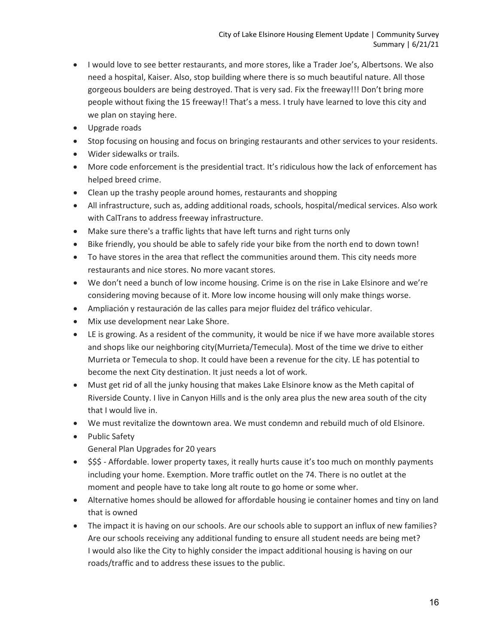- I would love to see better restaurants, and more stores, like a Trader Joe's, Albertsons. We also need a hospital, Kaiser. Also, stop building where there is so much beautiful nature. All those gorgeous boulders are being destroyed. That is very sad. Fix the freeway!!! Don't bring more people without fixing the 15 freeway!! That's a mess. I truly have learned to love this city and we plan on staying here.
- Upgrade roads
- Stop focusing on housing and focus on bringing restaurants and other services to your residents.
- Wider sidewalks or trails.
- More code enforcement is the presidential tract. It's ridiculous how the lack of enforcement has helped breed crime.
- Clean up the trashy people around homes, restaurants and shopping
- All infrastructure, such as, adding additional roads, schools, hospital/medical services. Also work with CalTrans to address freeway infrastructure.
- Make sure there's a traffic lights that have left turns and right turns only
- Bike friendly, you should be able to safely ride your bike from the north end to down town!
- To have stores in the area that reflect the communities around them. This city needs more restaurants and nice stores. No more vacant stores.
- We don't need a bunch of low income housing. Crime is on the rise in Lake Elsinore and we're considering moving because of it. More low income housing will only make things worse.
- Ampliación y restauración de las calles para mejor fluidez del tráfico vehicular.
- Mix use development near Lake Shore.
- LE is growing. As a resident of the community, it would be nice if we have more available stores and shops like our neighboring city(Murrieta/Temecula). Most of the time we drive to either Murrieta or Temecula to shop. It could have been a revenue for the city. LE has potential to become the next City destination. It just needs a lot of work.
- Must get rid of all the junky housing that makes Lake Elsinore know as the Meth capital of Riverside County. I live in Canyon Hills and is the only area plus the new area south of the city that I would live in.
- We must revitalize the downtown area. We must condemn and rebuild much of old Elsinore.
- Public Safety
	- General Plan Upgrades for 20 years
- \$\$\$ Affordable. lower property taxes, it really hurts cause it's too much on monthly payments including your home. Exemption. More traffic outlet on the 74. There is no outlet at the moment and people have to take long alt route to go home or some wher.
- Alternative homes should be allowed for affordable housing ie container homes and tiny on land that is owned
- The impact it is having on our schools. Are our schools able to support an influx of new families? Are our schools receiving any additional funding to ensure all student needs are being met? I would also like the City to highly consider the impact additional housing is having on our roads/traffic and to address these issues to the public.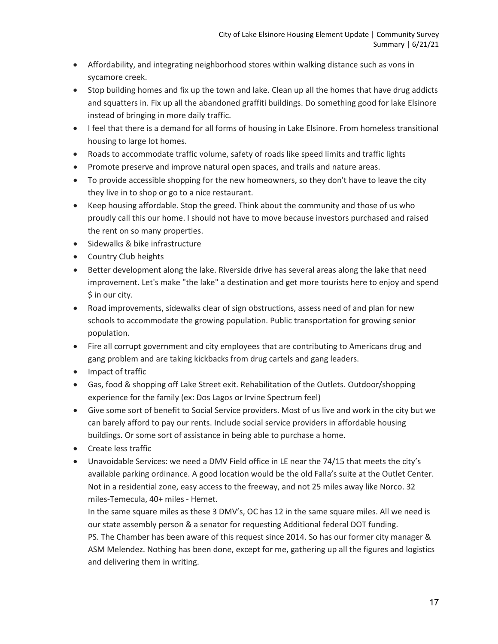- Affordability, and integrating neighborhood stores within walking distance such as vons in sycamore creek.
- Stop building homes and fix up the town and lake. Clean up all the homes that have drug addicts and squatters in. Fix up all the abandoned graffiti buildings. Do something good for lake Elsinore instead of bringing in more daily traffic.
- I feel that there is a demand for all forms of housing in Lake Elsinore. From homeless transitional housing to large lot homes.
- Roads to accommodate traffic volume, safety of roads like speed limits and traffic lights
- Promote preserve and improve natural open spaces, and trails and nature areas.
- To provide accessible shopping for the new homeowners, so they don't have to leave the city they live in to shop or go to a nice restaurant.
- Keep housing affordable. Stop the greed. Think about the community and those of us who proudly call this our home. I should not have to move because investors purchased and raised the rent on so many properties.
- Sidewalks & bike infrastructure
- Country Club heights
- Better development along the lake. Riverside drive has several areas along the lake that need improvement. Let's make "the lake" a destination and get more tourists here to enjoy and spend \$ in our city.
- Road improvements, sidewalks clear of sign obstructions, assess need of and plan for new schools to accommodate the growing population. Public transportation for growing senior population.
- Fire all corrupt government and city employees that are contributing to Americans drug and gang problem and are taking kickbacks from drug cartels and gang leaders.
- Impact of traffic
- Gas, food & shopping off Lake Street exit. Rehabilitation of the Outlets. Outdoor/shopping experience for the family (ex: Dos Lagos or Irvine Spectrum feel)
- Give some sort of benefit to Social Service providers. Most of us live and work in the city but we can barely afford to pay our rents. Include social service providers in affordable housing buildings. Or some sort of assistance in being able to purchase a home.
- Create less traffic
- Unavoidable Services: we need a DMV Field office in LE near the 74/15 that meets the city's available parking ordinance. A good location would be the old Falla's suite at the Outlet Center. Not in a residential zone, easy access to the freeway, and not 25 miles away like Norco. 32 miles-Temecula, 40+ miles - Hemet.

In the same square miles as these 3 DMV's, OC has 12 in the same square miles. All we need is our state assembly person & a senator for requesting Additional federal DOT funding. PS. The Chamber has been aware of this request since 2014. So has our former city manager & ASM Melendez. Nothing has been done, except for me, gathering up all the figures and logistics and delivering them in writing.